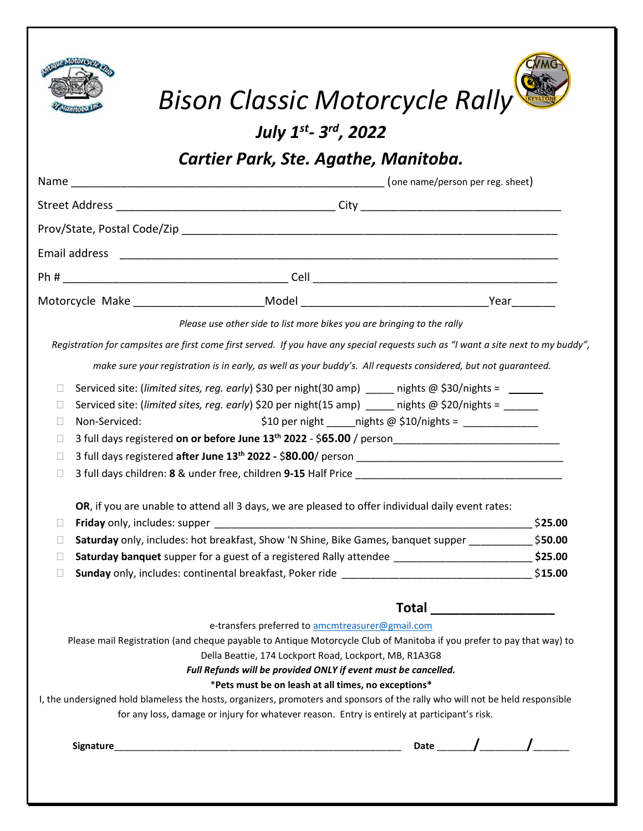

| Bison Classic Motorcycle Rally |  |
|--------------------------------|--|

July 1st- 3rd, 2022

Cartier Park, Ste. Agathe, Manitoba.

| Email address                                                                                                      |                                                                                                                                                                                                                                                                                                                                                                                                                                                                                                                                                                                               |                            |
|--------------------------------------------------------------------------------------------------------------------|-----------------------------------------------------------------------------------------------------------------------------------------------------------------------------------------------------------------------------------------------------------------------------------------------------------------------------------------------------------------------------------------------------------------------------------------------------------------------------------------------------------------------------------------------------------------------------------------------|----------------------------|
|                                                                                                                    |                                                                                                                                                                                                                                                                                                                                                                                                                                                                                                                                                                                               |                            |
|                                                                                                                    |                                                                                                                                                                                                                                                                                                                                                                                                                                                                                                                                                                                               |                            |
|                                                                                                                    | Please use other side to list more bikes you are bringing to the rally                                                                                                                                                                                                                                                                                                                                                                                                                                                                                                                        |                            |
|                                                                                                                    | Registration for campsites are first come first served. If you have any special requests such as "I want a site next to my buddy",                                                                                                                                                                                                                                                                                                                                                                                                                                                            |                            |
|                                                                                                                    | make sure your registration is in early, as well as your buddy's. All requests considered, but not guaranteed.                                                                                                                                                                                                                                                                                                                                                                                                                                                                                |                            |
| П<br>П<br>Non-Serviced:<br>$\Box$<br>П<br>$\Box$<br>$\Box$                                                         | Serviced site: (limited sites, reg. early) \$30 per night(30 amp) ____ nights @ \$30/nights = _____<br>Serviced site: (limited sites, reg. early) \$20 per night(15 amp) ____ nights @ \$20/nights = _____<br>\$10 per night ______ nights @ \$10/nights = $\frac{1}{2}$<br>OR, if you are unable to attend all 3 days, we are pleased to offer individual daily event rates:                                                                                                                                                                                                                 |                            |
| П                                                                                                                  |                                                                                                                                                                                                                                                                                                                                                                                                                                                                                                                                                                                               | \$25.00                    |
| <b>Saturday</b> only, includes: hot breakfast, Show 'N Shine, Bike Games, banquet supper \$50.00<br>$\mathbf{L}$   |                                                                                                                                                                                                                                                                                                                                                                                                                                                                                                                                                                                               |                            |
| Saturday banquet supper for a guest of a registered Rally attendee ______________________________\$25.00<br>$\Box$ |                                                                                                                                                                                                                                                                                                                                                                                                                                                                                                                                                                                               |                            |
| $\Box$                                                                                                             |                                                                                                                                                                                                                                                                                                                                                                                                                                                                                                                                                                                               |                            |
|                                                                                                                    |                                                                                                                                                                                                                                                                                                                                                                                                                                                                                                                                                                                               | Total ____________________ |
|                                                                                                                    | e-transfers preferred to amcmtreasurer@gmail.com<br>Please mail Registration (and cheque payable to Antique Motorcycle Club of Manitoba if you prefer to pay that way) to<br>Della Beattie, 174 Lockport Road, Lockport, MB, R1A3G8<br>Full Refunds will be provided ONLY if event must be cancelled.<br>*Pets must be on leash at all times, no exceptions*<br>I, the undersigned hold blameless the hosts, organizers, promoters and sponsors of the rally who will not be held responsible<br>for any loss, damage or injury for whatever reason. Entry is entirely at participant's risk. |                            |
|                                                                                                                    |                                                                                                                                                                                                                                                                                                                                                                                                                                                                                                                                                                                               |                            |
|                                                                                                                    |                                                                                                                                                                                                                                                                                                                                                                                                                                                                                                                                                                                               |                            |